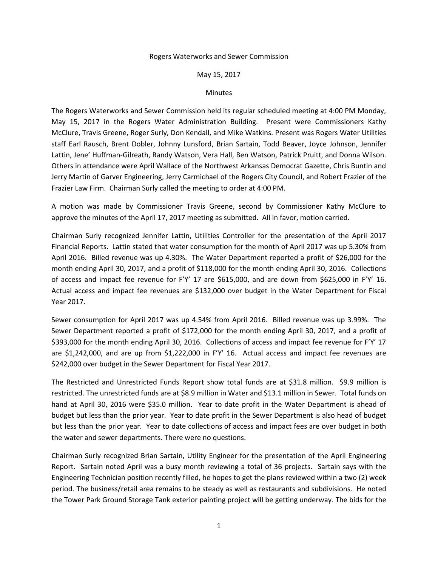## Rogers Waterworks and Sewer Commission

## May 15, 2017

## **Minutes**

The Rogers Waterworks and Sewer Commission held its regular scheduled meeting at 4:00 PM Monday, May 15, 2017 in the Rogers Water Administration Building. Present were Commissioners Kathy McClure, Travis Greene, Roger Surly, Don Kendall, and Mike Watkins. Present was Rogers Water Utilities staff Earl Rausch, Brent Dobler, Johnny Lunsford, Brian Sartain, Todd Beaver, Joyce Johnson, Jennifer Lattin, Jene' Huffman-Gilreath, Randy Watson, Vera Hall, Ben Watson, Patrick Pruitt, and Donna Wilson. Others in attendance were April Wallace of the Northwest Arkansas Democrat Gazette, Chris Buntin and Jerry Martin of Garver Engineering, Jerry Carmichael of the Rogers City Council, and Robert Frazier of the Frazier Law Firm. Chairman Surly called the meeting to order at 4:00 PM.

A motion was made by Commissioner Travis Greene, second by Commissioner Kathy McClure to approve the minutes of the April 17, 2017 meeting as submitted. All in favor, motion carried.

Chairman Surly recognized Jennifer Lattin, Utilities Controller for the presentation of the April 2017 Financial Reports. Lattin stated that water consumption for the month of April 2017 was up 5.30% from April 2016. Billed revenue was up 4.30%. The Water Department reported a profit of \$26,000 for the month ending April 30, 2017, and a profit of \$118,000 for the month ending April 30, 2016. Collections of access and impact fee revenue for F'Y' 17 are \$615,000, and are down from \$625,000 in F'Y' 16. Actual access and impact fee revenues are \$132,000 over budget in the Water Department for Fiscal Year 2017.

Sewer consumption for April 2017 was up 4.54% from April 2016. Billed revenue was up 3.99%. The Sewer Department reported a profit of \$172,000 for the month ending April 30, 2017, and a profit of \$393,000 for the month ending April 30, 2016. Collections of access and impact fee revenue for F'Y' 17 are \$1,242,000, and are up from \$1,222,000 in F'Y' 16. Actual access and impact fee revenues are \$242,000 over budget in the Sewer Department for Fiscal Year 2017.

The Restricted and Unrestricted Funds Report show total funds are at \$31.8 million. \$9.9 million is restricted. The unrestricted funds are at \$8.9 million in Water and \$13.1 million in Sewer. Total funds on hand at April 30, 2016 were \$35.0 million. Year to date profit in the Water Department is ahead of budget but less than the prior year. Year to date profit in the Sewer Department is also head of budget but less than the prior year. Year to date collections of access and impact fees are over budget in both the water and sewer departments. There were no questions.

Chairman Surly recognized Brian Sartain, Utility Engineer for the presentation of the April Engineering Report. Sartain noted April was a busy month reviewing a total of 36 projects. Sartain says with the Engineering Technician position recently filled, he hopes to get the plans reviewed within a two (2) week period. The business/retail area remains to be steady as well as restaurants and subdivisions. He noted the Tower Park Ground Storage Tank exterior painting project will be getting underway. The bids for the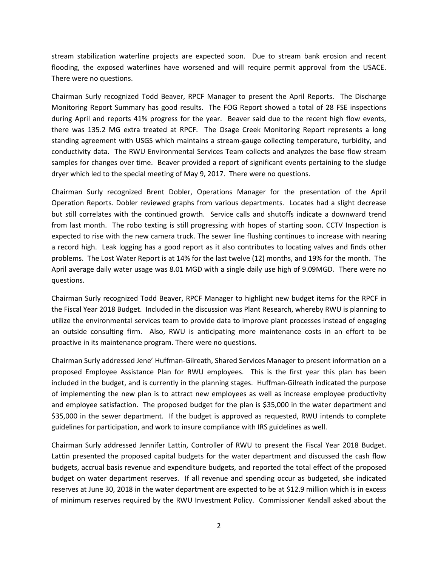stream stabilization waterline projects are expected soon. Due to stream bank erosion and recent flooding, the exposed waterlines have worsened and will require permit approval from the USACE. There were no questions.

Chairman Surly recognized Todd Beaver, RPCF Manager to present the April Reports. The Discharge Monitoring Report Summary has good results. The FOG Report showed a total of 28 FSE inspections during April and reports 41% progress for the year. Beaver said due to the recent high flow events, there was 135.2 MG extra treated at RPCF. The Osage Creek Monitoring Report represents a long standing agreement with USGS which maintains a stream-gauge collecting temperature, turbidity, and conductivity data. The RWU Environmental Services Team collects and analyzes the base flow stream samples for changes over time. Beaver provided a report of significant events pertaining to the sludge dryer which led to the special meeting of May 9, 2017. There were no questions.

Chairman Surly recognized Brent Dobler, Operations Manager for the presentation of the April Operation Reports. Dobler reviewed graphs from various departments. Locates had a slight decrease but still correlates with the continued growth. Service calls and shutoffs indicate a downward trend from last month. The robo texting is still progressing with hopes of starting soon. CCTV Inspection is expected to rise with the new camera truck. The sewer line flushing continues to increase with nearing a record high. Leak logging has a good report as it also contributes to locating valves and finds other problems. The Lost Water Report is at 14% for the last twelve (12) months, and 19% for the month. The April average daily water usage was 8.01 MGD with a single daily use high of 9.09MGD. There were no questions.

Chairman Surly recognized Todd Beaver, RPCF Manager to highlight new budget items for the RPCF in the Fiscal Year 2018 Budget. Included in the discussion was Plant Research, whereby RWU is planning to utilize the environmental services team to provide data to improve plant processes instead of engaging an outside consulting firm. Also, RWU is anticipating more maintenance costs in an effort to be proactive in its maintenance program. There were no questions.

Chairman Surly addressed Jene' Huffman-Gilreath, Shared Services Manager to present information on a proposed Employee Assistance Plan for RWU employees. This is the first year this plan has been included in the budget, and is currently in the planning stages. Huffman-Gilreath indicated the purpose of implementing the new plan is to attract new employees as well as increase employee productivity and employee satisfaction. The proposed budget for the plan is \$35,000 in the water department and \$35,000 in the sewer department. If the budget is approved as requested, RWU intends to complete guidelines for participation, and work to insure compliance with IRS guidelines as well.

Chairman Surly addressed Jennifer Lattin, Controller of RWU to present the Fiscal Year 2018 Budget. Lattin presented the proposed capital budgets for the water department and discussed the cash flow budgets, accrual basis revenue and expenditure budgets, and reported the total effect of the proposed budget on water department reserves. If all revenue and spending occur as budgeted, she indicated reserves at June 30, 2018 in the water department are expected to be at \$12.9 million which is in excess of minimum reserves required by the RWU Investment Policy. Commissioner Kendall asked about the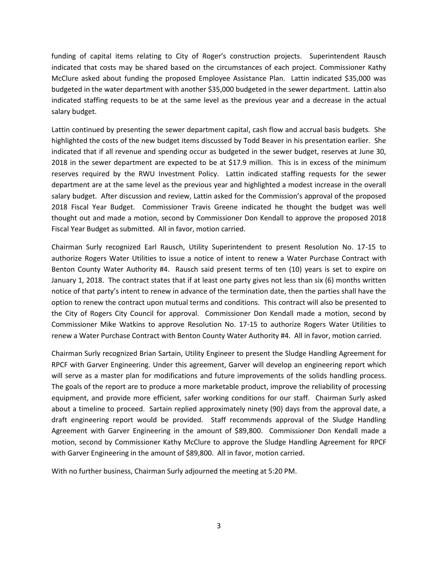funding of capital items relating to City of Roger's construction projects. Superintendent Rausch indicated that costs may be shared based on the circumstances of each project. Commissioner Kathy McClure asked about funding the proposed Employee Assistance Plan. Lattin indicated \$35,000 was budgeted in the water department with another \$35,000 budgeted in the sewer department. Lattin also indicated staffing requests to be at the same level as the previous year and a decrease in the actual salary budget.

Lattin continued by presenting the sewer department capital, cash flow and accrual basis budgets. She highlighted the costs of the new budget items discussed by Todd Beaver in his presentation earlier. She indicated that if all revenue and spending occur as budgeted in the sewer budget, reserves at June 30, 2018 in the sewer department are expected to be at \$17.9 million. This is in excess of the minimum reserves required by the RWU Investment Policy. Lattin indicated staffing requests for the sewer department are at the same level as the previous year and highlighted a modest increase in the overall salary budget. After discussion and review, Lattin asked for the Commission's approval of the proposed 2018 Fiscal Year Budget. Commissioner Travis Greene indicated he thought the budget was well thought out and made a motion, second by Commissioner Don Kendall to approve the proposed 2018 Fiscal Year Budget as submitted. All in favor, motion carried.

Chairman Surly recognized Earl Rausch, Utility Superintendent to present Resolution No. 17-15 to authorize Rogers Water Utilities to issue a notice of intent to renew a Water Purchase Contract with Benton County Water Authority #4. Rausch said present terms of ten (10) years is set to expire on January 1, 2018. The contract states that if at least one party gives not less than six (6) months written notice of that party's intent to renew in advance of the termination date, then the parties shall have the option to renew the contract upon mutual terms and conditions. This contract will also be presented to the City of Rogers City Council for approval. Commissioner Don Kendall made a motion, second by Commissioner Mike Watkins to approve Resolution No. 17-15 to authorize Rogers Water Utilities to renew a Water Purchase Contract with Benton County Water Authority #4. All in favor, motion carried.

Chairman Surly recognized Brian Sartain, Utility Engineer to present the Sludge Handling Agreement for RPCF with Garver Engineering. Under this agreement, Garver will develop an engineering report which will serve as a master plan for modifications and future improvements of the solids handling process. The goals of the report are to produce a more marketable product, improve the reliability of processing equipment, and provide more efficient, safer working conditions for our staff. Chairman Surly asked about a timeline to proceed. Sartain replied approximately ninety (90) days from the approval date, a draft engineering report would be provided. Staff recommends approval of the Sludge Handling Agreement with Garver Engineering in the amount of \$89,800. Commissioner Don Kendall made a motion, second by Commissioner Kathy McClure to approve the Sludge Handling Agreement for RPCF with Garver Engineering in the amount of \$89,800. All in favor, motion carried.

With no further business, Chairman Surly adjourned the meeting at 5:20 PM.